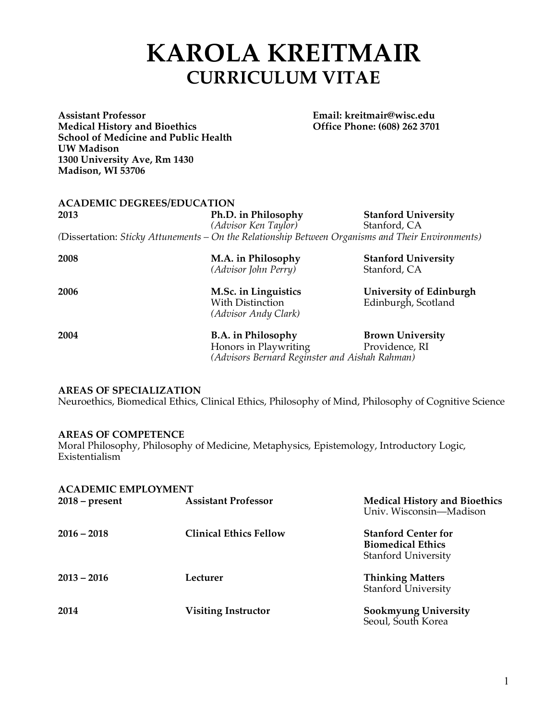# **KAROLA KREITMAIR CURRICULUM VITAE**

**Assistant Professor Email: kreitmair@wisc.edu Medical History and Bioethics School of Medicine and Public Health UW Madison 1300 University Ave, Rm 1430 Madison, WI 53706**

| <b>ACADEMIC DEGREES/EDUCATION</b> |                      |                                                                                                   |  |  |
|-----------------------------------|----------------------|---------------------------------------------------------------------------------------------------|--|--|
| 2013                              | Ph.D. in Philosophy  | <b>Stanford University</b>                                                                        |  |  |
|                                   | (Advisor Ken Taylor) | Stanford, CA                                                                                      |  |  |
|                                   |                      | (Dissertation: Sticky Attunements – On the Relationship Between Organisms and Their Environments) |  |  |

| 2008 | M.A. in Philosophy<br>(Advisor John Perry)                       | <b>Stanford University</b><br>Stanford, CA            |
|------|------------------------------------------------------------------|-------------------------------------------------------|
| 2006 | M.Sc. in Linguistics<br>With Distinction<br>(Advisor Andy Clark) | <b>University of Edinburgh</b><br>Edinburgh, Scotland |
| 2004 | <b>B.A.</b> in Philosophy                                        | <b>Brown University</b>                               |

**2004 B.A. in Philosophy Brown University** Honors in Playwriting Providence, RI *(Advisors Bernard Reginster and Aishah Rahman)*

# **AREAS OF SPECIALIZATION**

Neuroethics, Biomedical Ethics, Clinical Ethics, Philosophy of Mind, Philosophy of Cognitive Science

## **AREAS OF COMPETENCE**

Moral Philosophy, Philosophy of Medicine, Metaphysics, Epistemology, Introductory Logic, Existentialism

| <b>ACADEMIC EMPLOYMENT</b> |                               |                                                                                      |
|----------------------------|-------------------------------|--------------------------------------------------------------------------------------|
| $2018$ – present           | <b>Assistant Professor</b>    | <b>Medical History and Bioethics</b><br>Univ. Wisconsin-Madison                      |
| $2016 - 2018$              | <b>Clinical Ethics Fellow</b> | <b>Stanford Center for</b><br><b>Biomedical Ethics</b><br><b>Stanford University</b> |
| $2013 - 2016$              | Lecturer                      | <b>Thinking Matters</b><br><b>Stanford University</b>                                |
| 2014                       | <b>Visiting Instructor</b>    | <b>Sookmyung University</b><br>Seoul, South Korea                                    |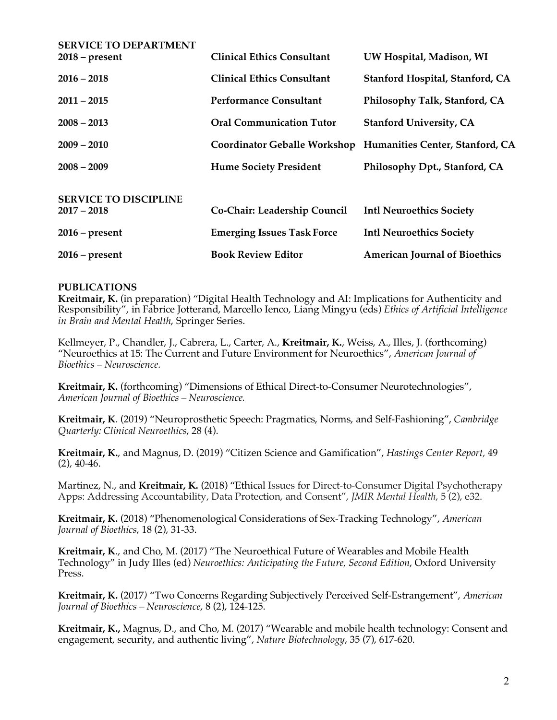| <b>SERVICE TO DEPARTMENT</b><br>$2018$ – present | <b>Clinical Ethics Consultant</b> | UW Hospital, Madison, WI                                     |
|--------------------------------------------------|-----------------------------------|--------------------------------------------------------------|
| $2016 - 2018$                                    | <b>Clinical Ethics Consultant</b> | Stanford Hospital, Stanford, CA                              |
| $2011 - 2015$                                    | <b>Performance Consultant</b>     | Philosophy Talk, Stanford, CA                                |
| $2008 - 2013$                                    | <b>Oral Communication Tutor</b>   | <b>Stanford University, CA</b>                               |
| $2009 - 2010$                                    |                                   | Coordinator Geballe Workshop Humanities Center, Stanford, CA |
| $2008 - 2009$                                    | <b>Hume Society President</b>     | Philosophy Dpt., Stanford, CA                                |
| <b>SERVICE TO DISCIPLINE</b><br>$2017 - 2018$    | Co-Chair: Leadership Council      | <b>Intl Neuroethics Society</b>                              |
| $2016$ – present                                 | <b>Emerging Issues Task Force</b> | <b>Intl Neuroethics Society</b>                              |
| $2016$ – present                                 | <b>Book Review Editor</b>         | <b>American Journal of Bioethics</b>                         |

# **PUBLICATIONS**

**Kreitmair, K.** (in preparation) "Digital Health Technology and AI: Implications for Authenticity and Responsibility", in Fabrice Jotterand, Marcello Ienco, Liang Mingyu (eds) *Ethics of Artificial Intelligence in Brain and Mental Health*, Springer Series.

Kellmeyer, P., Chandler, J., Cabrera, L., Carter, A., **Kreitmair, K.**, Weiss, A., Illes, J. (forthcoming) "Neuroethics at 15: The Current and Future Environment for Neuroethics", *American Journal of Bioethics – Neuroscience.*

**Kreitmair, K.** (forthcoming) "Dimensions of Ethical Direct-to-Consumer Neurotechnologies", *American Journal of Bioethics – Neuroscience.*

**Kreitmair, K**. (2019) "Neuroprosthetic Speech: Pragmatics, Norms, and Self-Fashioning", *Cambridge Quarterly: Clinical Neuroethics*, 28 (4).

**Kreitmair, K.**, and Magnus, D. (2019) "Citizen Science and Gamification", *Hastings Center Report,* 49 (2), 40-46.

Martinez, N., and **Kreitmair, K.** (2018) "Ethical Issues for Direct-to-Consumer Digital Psychotherapy Apps: Addressing Accountability, Data Protection, and Consent", *JMIR Mental Health*, 5 (2), e32.

**Kreitmair, K.** (2018) "Phenomenological Considerations of Sex-Tracking Technology", *American Journal of Bioethics*, 18 (2), 31-33.

**Kreitmair, K**., and Cho, M. (2017) "The Neuroethical Future of Wearables and Mobile Health Technology" in Judy Illes (ed) *Neuroethics: Anticipating the Future, Second Edition*, Oxford University Press.

**Kreitmair, K.** (2017*)* "Two Concerns Regarding Subjectively Perceived Self-Estrangement", *American Journal of Bioethics – Neuroscience*, 8 (2), 124-125.

**Kreitmair, K.,** Magnus, D., and Cho, M. (2017) "Wearable and mobile health technology: Consent and engagement, security, and authentic living", *Nature Biotechnology*, 35 (7), 617-620.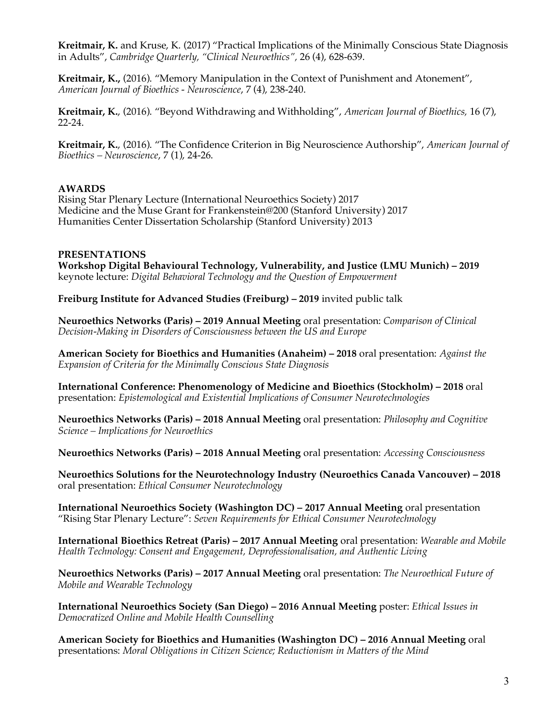**Kreitmair, K.** and Kruse, K. (2017) "Practical Implications of the Minimally Conscious State Diagnosis in Adults", *Cambridge Quarterly, "Clinical Neuroethics",* 26 (4), 628-639.

**Kreitmair, K.,** (2016). "Memory Manipulation in the Context of Punishment and Atonement", *American Journal of Bioethics - Neuroscience*, 7 (4), 238-240.

**Kreitmair, K.**, (2016). "Beyond Withdrawing and Withholding", *American Journal of Bioethics,* 16 (7), 22-24.

**Kreitmair, K.**, (2016). "The Confidence Criterion in Big Neuroscience Authorship", *American Journal of Bioethics – Neuroscience*, 7 (1), 24-26.

## **AWARDS**

Rising Star Plenary Lecture (International Neuroethics Society) 2017 Medicine and the Muse Grant for Frankenstein@200 (Stanford University) 2017 Humanities Center Dissertation Scholarship (Stanford University) 2013

#### **PRESENTATIONS**

**Workshop Digital Behavioural Technology, Vulnerability, and Justice (LMU Munich) – 2019**  keynote lecture: *Digital Behavioral Technology and the Question of Empowerment*

**Freiburg Institute for Advanced Studies (Freiburg) – 2019** invited public talk

**Neuroethics Networks (Paris) – 2019 Annual Meeting** oral presentation: *Comparison of Clinical Decision-Making in Disorders of Consciousness between the US and Europe*

**American Society for Bioethics and Humanities (Anaheim) – 2018** oral presentation: *Against the Expansion of Criteria for the Minimally Conscious State Diagnosis*

**International Conference: Phenomenology of Medicine and Bioethics (Stockholm) – 2018** oral presentation: *Epistemological and Existential Implications of Consumer Neurotechnologies*

**Neuroethics Networks (Paris) – 2018 Annual Meeting** oral presentation: *Philosophy and Cognitive Science – Implications for Neuroethics*

**Neuroethics Networks (Paris) – 2018 Annual Meeting** oral presentation: *Accessing Consciousness*

**Neuroethics Solutions for the Neurotechnology Industry (Neuroethics Canada Vancouver) – 2018**  oral presentation: *Ethical Consumer Neurotechnology*

**International Neuroethics Society (Washington DC) – 2017 Annual Meeting** oral presentation "Rising Star Plenary Lecture": *Seven Requirements for Ethical Consumer Neurotechnology*

**International Bioethics Retreat (Paris) – 2017 Annual Meeting** oral presentation: *Wearable and Mobile Health Technology: Consent and Engagement, Deprofessionalisation, and Authentic Living*

**Neuroethics Networks (Paris) – 2017 Annual Meeting** oral presentation: *The Neuroethical Future of Mobile and Wearable Technology*

**International Neuroethics Society (San Diego) – 2016 Annual Meeting** poster: *Ethical Issues in Democratized Online and Mobile Health Counselling*

**American Society for Bioethics and Humanities (Washington DC) – 2016 Annual Meeting** oral presentations: *Moral Obligations in Citizen Science; Reductionism in Matters of the Mind*